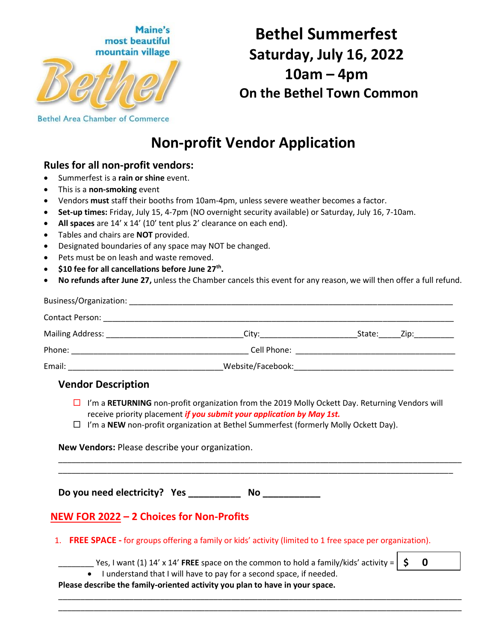

# **Bethel Summerfest Saturday, July 16, 2022 10am – 4pm On the Bethel Town Common**

## **Non-profit Vendor Application**

## **Rules for all non-profit vendors:**

- Summerfest is a **rain or shine** event.
- This is a **non-smoking** event
- Vendors **must** staff their booths from 10am-4pm, unless severe weather becomes a factor.
- **Set-up times:** Friday, July 15, 4-7pm (NO overnight security available) or Saturday, July 16, 7-10am.
- **All spaces** are 14' x 14' (10' tent plus 2' clearance on each end).
- Tables and chairs are **NOT** provided.
- Designated boundaries of any space may NOT be changed.
- Pets must be on leash and waste removed.
- **•** \$10 fee for all cancellations before June 27<sup>th</sup>.
- **No refunds after June 27,** unless the Chamber cancels this event for any reason, we will then offer a full refund.

| <b>Contact Person:</b> | <u> 1989 - Johann John Stoff, deutscher Stoffen und der Stoffen und der Stoffen und der Stoffen und der Stoffen u</u>                                                                                                          |        |               |  |
|------------------------|--------------------------------------------------------------------------------------------------------------------------------------------------------------------------------------------------------------------------------|--------|---------------|--|
|                        | City:___________________                                                                                                                                                                                                       | State: | Zip:_________ |  |
|                        |                                                                                                                                                                                                                                |        |               |  |
| Email:                 | Website/Facebook: when the contract of the contract of the contract of the contract of the contract of the contract of the contract of the contract of the contract of the contract of the contract of the contract of the con |        |               |  |

#### **Vendor Description**

 I'm a **RETURNING** non-profit organization from the 2019 Molly Ockett Day. Returning Vendors will receive priority placement *if you submit your application by May 1st.*

\_\_\_\_\_\_\_\_\_\_\_\_\_\_\_\_\_\_\_\_\_\_\_\_\_\_\_\_\_\_\_\_\_\_\_\_\_\_\_\_\_\_\_\_\_\_\_\_\_\_\_\_\_\_\_\_\_\_\_\_\_\_\_\_\_\_\_\_\_\_\_\_\_\_\_\_\_\_\_\_\_\_\_\_\_\_\_\_\_\_\_ \_\_\_\_\_\_\_\_\_\_\_\_\_\_\_\_\_\_\_\_\_\_\_\_\_\_\_\_\_\_\_\_\_\_\_\_\_\_\_\_\_\_\_\_\_\_\_\_\_\_\_\_\_\_\_\_\_\_\_\_\_\_\_\_\_\_\_\_\_\_\_\_\_\_\_\_\_\_\_\_\_\_\_\_\_\_\_\_\_

 $\Box$  I'm a **NEW** non-profit organization at Bethel Summerfest (formerly Molly Ockett Day).

**New Vendors:** Please describe your organization.

**Do you need electricity? Yes \_\_\_\_\_\_\_\_\_\_ No \_\_\_\_\_\_\_\_\_\_\_**

### **NEW FOR 2022 – 2 Choices for Non-Profits**

- 1. **FREE SPACE -** for groups offering a family or kids' activity (limited to 1 free space per organization).
	- $\leq$  Yes, I want (1) 14' x 14' **FREE** space on the common to hold a family/kids' activity =  $\mid$  \$

\_\_\_\_\_\_\_\_\_\_\_\_\_\_\_\_\_\_\_\_\_\_\_\_\_\_\_\_\_\_\_\_\_\_\_\_\_\_\_\_\_\_\_\_\_\_\_\_\_\_\_\_\_\_\_\_\_\_\_\_\_\_\_\_\_\_\_\_\_\_\_\_\_\_\_\_\_\_\_\_\_\_\_\_\_\_\_\_\_\_\_ \_\_\_\_\_\_\_\_\_\_\_\_\_\_\_\_\_\_\_\_\_\_\_\_\_\_\_\_\_\_\_\_\_\_\_\_\_\_\_\_\_\_\_\_\_\_\_\_\_\_\_\_\_\_\_\_\_\_\_\_\_\_\_\_\_\_\_\_\_\_\_\_\_\_\_\_\_\_\_\_\_\_\_\_\_\_\_\_\_\_\_

**\$ 0**

• I understand that I will have to pay for a second space, if needed.

**Please describe the family-oriented activity you plan to have in your space.**